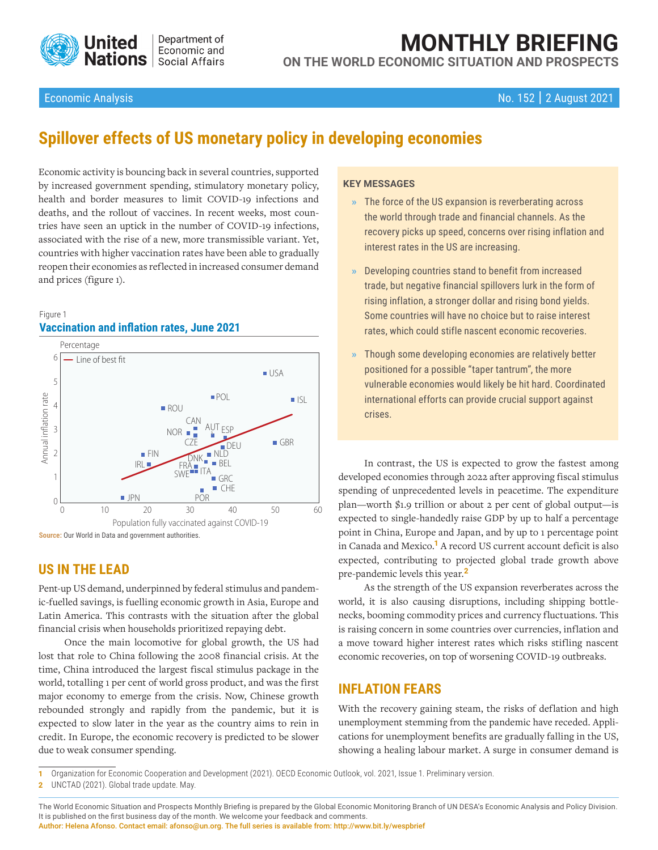

# **MONTHLY BRIEFING ON THE WORLD ECONOMIC SITUATION AND PROSPECTS**

# Economic Analysis No. 152 | 2 August 2021

# **Spillover effects of US monetary policy in developing economies**

Economic activity is bouncing back in several countries, supported by increased government spending, stimulatory monetary policy, health and border measures to limit COVID-19 infections and deaths, and the rollout of vaccines. In recent weeks, most countries have seen an uptick in the number of COVID-19 infections, associated with the rise of a new, more transmissible variant. Yet, countries with higher vaccination rates have been able to gradually reopen their economies as reflected in increased consumer demand and prices (figure 1).

#### Figure 1 **Vaccination and inflation rates, June 2021**



**Source:** Our World in Data and government authorities.

# **US IN THE LEAD**

Pent-up US demand, underpinned by federal stimulus and pandemic-fuelled savings, is fuelling economic growth in Asia, Europe and Latin America. This contrasts with the situation after the global financial crisis when households prioritized repaying debt.

Once the main locomotive for global growth, the US had lost that role to China following the 2008 financial crisis. At the time, China introduced the largest fiscal stimulus package in the world, totalling 1 per cent of world gross product, and was the first major economy to emerge from the crisis. Now, Chinese growth rebounded strongly and rapidly from the pandemic, but it is expected to slow later in the year as the country aims to rein in credit. In Europe, the economic recovery is predicted to be slower due to weak consumer spending.

#### **KEY MESSAGES**

- **»** The force of the US expansion is reverberating across the world through trade and financial channels. As the recovery picks up speed, concerns over rising inflation and interest rates in the US are increasing.
- **»** Developing countries stand to benefit from increased trade, but negative financial spillovers lurk in the form of rising inflation, a stronger dollar and rising bond yields. Some countries will have no choice but to raise interest rates, which could stifle nascent economic recoveries.
- **»** Though some developing economies are relatively better positioned for a possible "taper tantrum", the more vulnerable economies would likely be hit hard. Coordinated international efforts can provide crucial support against crises.

In contrast, the US is expected to grow the fastest among developed economies through 2022 after approving fiscal stimulus spending of unprecedented levels in peacetime. The expenditure plan—worth \$1.9 trillion or about 2 per cent of global output—is expected to single-handedly raise GDP by up to half a percentage point in China, Europe and Japan, and by up to 1 percentage point in Canada and Mexico.**1** A record US current account deficit is also expected, contributing to projected global trade growth above pre-pandemic levels this year.**<sup>2</sup>**

As the strength of the US expansion reverberates across the world, it is also causing disruptions, including shipping bottlenecks, booming commodity prices and currency fluctuations. This is raising concern in some countries over currencies, inflation and a move toward higher interest rates which risks stifling nascent economic recoveries, on top of worsening COVID-19 outbreaks.

# **INFLATION FEARS**

With the recovery gaining steam, the risks of deflation and high unemployment stemming from the pandemic have receded. Applications for unemployment benefits are gradually falling in the US, showing a healing labour market. A surge in consumer demand is

**1** Organization for Economic Cooperation and Development (2021). OECD Economic Outlook, vol. 2021, Issue 1. Preliminary version.

**2** UNCTAD (2021). Global trade update. May.

Author: Helena Afonso. Contact email: afonso@un.org. The full series is available from: [http://www.bit.ly/wespbrief](https://www.un.org/development/desa/dpad/document_gem/global-economic-monitoring-unit/monthly-briefing-on-the-world-economic-situation-and-prospects/)

The World Economic Situation and Prospects Monthly Briefing is prepared by the Global Economic Monitoring Branch of UN DESA's Economic Analysis and Policy Division. It is published on the first business day of the month. We welcome your feedback and comments.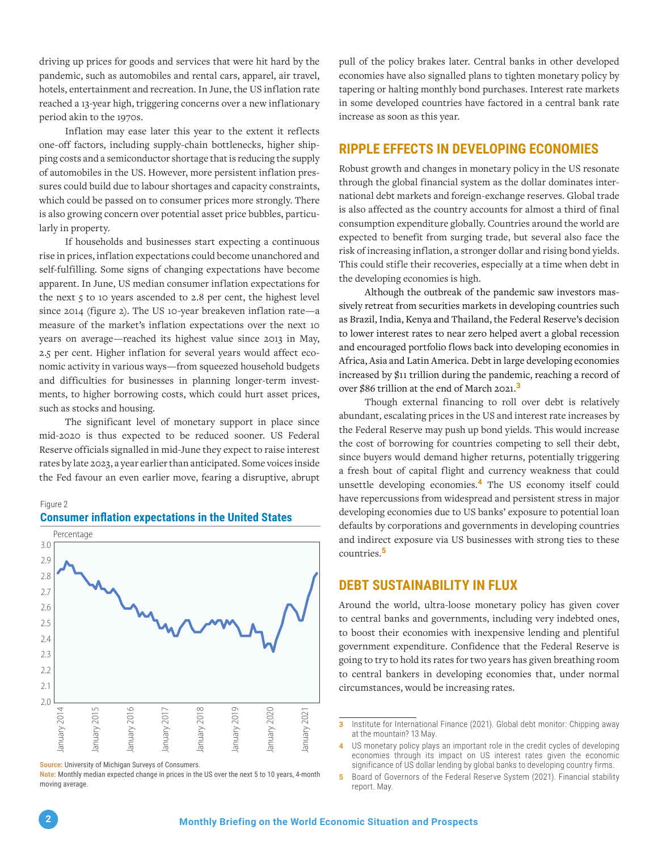driving up prices for goods and services that were hit hard by the pandemic, such as automobiles and rental cars, apparel, air travel, hotels, entertainment and recreation. In June, the US inflation rate reached a 13-year high, triggering concerns over a new inflationary period akin to the 1970s.

Inflation may ease later this year to the extent it reflects one-off factors, including supply-chain bottlenecks, higher shipping costs and a semiconductor shortage that is reducing the supply of automobiles in the US. However, more persistent inflation pressures could build due to labour shortages and capacity constraints, which could be passed on to consumer prices more strongly. There is also growing concern over potential asset price bubbles, particularly in property.

If households and businesses start expecting a continuous rise in prices, inflation expectations could become unanchored and self-fulfilling. Some signs of changing expectations have become apparent. In June, US median consumer inflation expectations for the next  $\varsigma$  to 10 years ascended to 2.8 per cent, the highest level since 2014 (figure 2). The US 10-year breakeven inflation rate—a measure of the market's inflation expectations over the next 10 years on average—reached its highest value since 2013 in May, 2.5 per cent. Higher inflation for several years would affect economic activity in various ways—from squeezed household budgets and difficulties for businesses in planning longer-term investments, to higher borrowing costs, which could hurt asset prices, such as stocks and housing.

The significant level of monetary support in place since mid-2020 is thus expected to be reduced sooner. US Federal Reserve officials signalled in mid-June they expect to raise interest rates by late 2023, a year earlier than anticipated. Some voices inside the Fed favour an even earlier move, fearing a disruptive, abrupt



#### **Consumer inflation expectations in the United States**

**Note:** Monthly median expected change in prices in the US over the next 5 to 10 years, 4-month moving average.

pull of the policy brakes later. Central banks in other developed economies have also signalled plans to tighten monetary policy by tapering or halting monthly bond purchases. Interest rate markets in some developed countries have factored in a central bank rate increase as soon as this year.

## **RIPPLE EFFECTS IN DEVELOPING ECONOMIES**

Robust growth and changes in monetary policy in the US resonate through the global financial system as the dollar dominates international debt markets and foreign-exchange reserves. Global trade is also affected as the country accounts for almost a third of final consumption expenditure globally. Countries around the world are expected to benefit from surging trade, but several also face the risk of increasing inflation, a stronger dollar and rising bond yields. This could stifle their recoveries, especially at a time when debt in the developing economies is high.

Although the outbreak of the pandemic saw investors massively retreat from securities markets in developing countries such as Brazil, India, Kenya and Thailand, the Federal Reserve's decision to lower interest rates to near zero helped avert a global recession and encouraged portfolio flows back into developing economies in Africa, Asia and Latin America. Debt in large developing economies increased by \$11 trillion during the pandemic, reaching a record of over \$86 trillion at the end of March 2021.**<sup>3</sup>**

Though external financing to roll over debt is relatively abundant, escalating prices in the US and interest rate increases by the Federal Reserve may push up bond yields. This would increase the cost of borrowing for countries competing to sell their debt, since buyers would demand higher returns, potentially triggering a fresh bout of capital flight and currency weakness that could unsettle developing economies.**4** The US economy itself could have repercussions from widespread and persistent stress in major developing economies due to US banks' exposure to potential loan defaults by corporations and governments in developing countries and indirect exposure via US businesses with strong ties to these countries.**<sup>5</sup>**

#### **DEBT SUSTAINABILITY IN FLUX**

Around the world, ultra-loose monetary policy has given cover to central banks and governments, including very indebted ones, to boost their economies with inexpensive lending and plentiful government expenditure. Confidence that the Federal Reserve is going to try to hold its rates for two years has given breathing room to central bankers in developing economies that, under normal circumstances, would be increasing rates.

Figure 2

**Source:** University of Michigan Surveys of Consumers.

**<sup>3</sup>** Institute for International Finance (2021). Global debt monitor: Chipping away at the mountain? 13 May.

**<sup>4</sup>** US monetary policy plays an important role in the credit cycles of developing economies through its impact on US interest rates given the economic significance of US dollar lending by global banks to developing country firms.

**<sup>5</sup>** Board of Governors of the Federal Reserve System (2021). Financial stability report. May.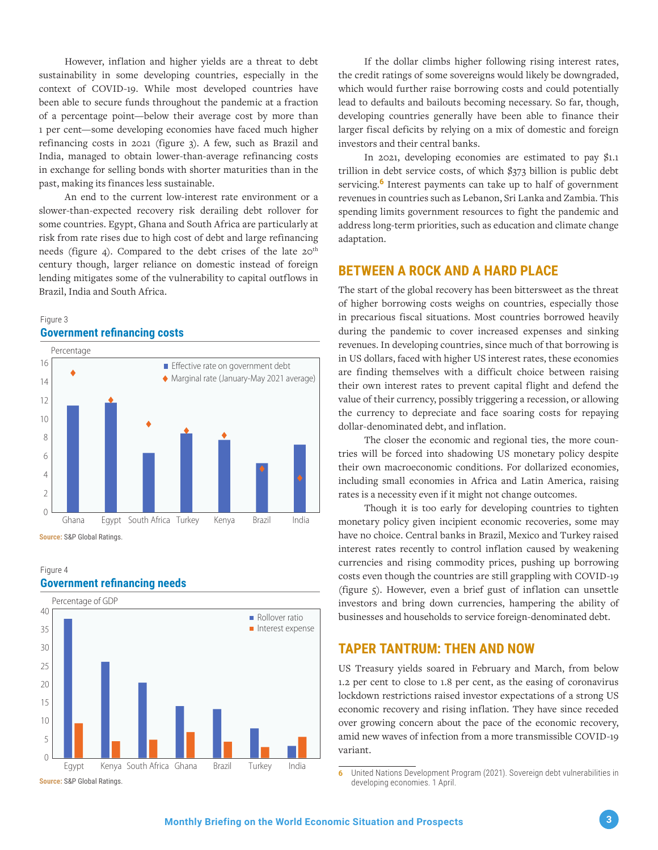However, inflation and higher yields are a threat to debt sustainability in some developing countries, especially in the context of COVID-19. While most developed countries have been able to secure funds throughout the pandemic at a fraction of a percentage point—below their average cost by more than 1 per cent—some developing economies have faced much higher refinancing costs in 2021 (figure 3). A few, such as Brazil and India, managed to obtain lower-than-average refinancing costs in exchange for selling bonds with shorter maturities than in the past, making its finances less sustainable.

An end to the current low-interest rate environment or a slower-than-expected recovery risk derailing debt rollover for some countries. Egypt, Ghana and South Africa are particularly at risk from rate rises due to high cost of debt and large refinancing needs (figure 4). Compared to the debt crises of the late  $20<sup>th</sup>$ century though, larger reliance on domestic instead of foreign lending mitigates some of the vulnerability to capital outflows in Brazil, India and South Africa.

#### Figure 3 **Government refinancing costs**



**Source:** S&P Global Ratings.

#### Figure 4 **Government refinancing needs**



If the dollar climbs higher following rising interest rates, the credit ratings of some sovereigns would likely be downgraded, which would further raise borrowing costs and could potentially lead to defaults and bailouts becoming necessary. So far, though, developing countries generally have been able to finance their larger fiscal deficits by relying on a mix of domestic and foreign investors and their central banks.

In 2021, developing economies are estimated to pay \$1.1 trillion in debt service costs, of which \$373 billion is public debt servicing.**6** Interest payments can take up to half of government revenues in countries such as Lebanon, Sri Lanka and Zambia. This spending limits government resources to fight the pandemic and address long-term priorities, such as education and climate change adaptation.

# **BETWEEN A ROCK AND A HARD PLACE**

The start of the global recovery has been bittersweet as the threat of higher borrowing costs weighs on countries, especially those in precarious fiscal situations. Most countries borrowed heavily during the pandemic to cover increased expenses and sinking revenues. In developing countries, since much of that borrowing is in US dollars, faced with higher US interest rates, these economies are finding themselves with a difficult choice between raising their own interest rates to prevent capital flight and defend the value of their currency, possibly triggering a recession, or allowing the currency to depreciate and face soaring costs for repaying dollar-denominated debt, and inflation.

The closer the economic and regional ties, the more countries will be forced into shadowing US monetary policy despite their own macroeconomic conditions. For dollarized economies, including small economies in Africa and Latin America, raising rates is a necessity even if it might not change outcomes.

Though it is too early for developing countries to tighten monetary policy given incipient economic recoveries, some may have no choice. Central banks in Brazil, Mexico and Turkey raised interest rates recently to control inflation caused by weakening currencies and rising commodity prices, pushing up borrowing costs even though the countries are still grappling with COVID-19 (figure 5). However, even a brief gust of inflation can unsettle investors and bring down currencies, hampering the ability of businesses and households to service foreign-denominated debt.

# **TAPER TANTRUM: THEN AND NOW**

US Treasury yields soared in February and March, from below 1.2 per cent to close to 1.8 per cent, as the easing of coronavirus lockdown restrictions raised investor expectations of a strong US economic recovery and rising inflation. They have since receded over growing concern about the pace of the economic recovery, amid new waves of infection from a more transmissible COVID-19 variant.

**<sup>6</sup>** United Nations Development Program (2021). Sovereign debt vulnerabilities in developing economies. 1 April.